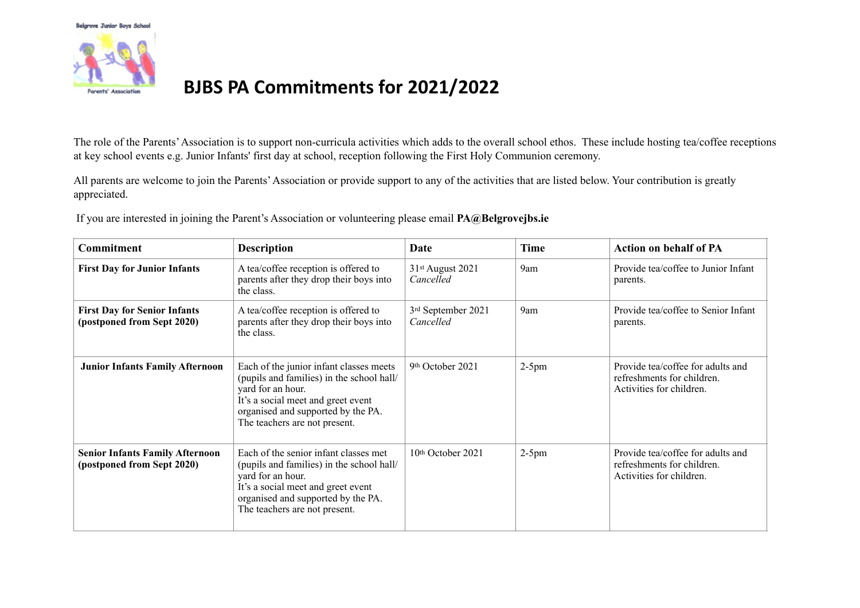

The role of the Parents' Association is to support non-curricula activities which adds to the overall school ethos. These include hosting tea/coffee receptions at key school events e.g. Junior Infants' first day at school, reception following the First Holy Communion ceremony.

All parents are welcome to join the Parents' Association or provide support to any of the activities that are listed below. Your contribution is greatly appreciated.

If you are interested in joining the Parent's Association or volunteering please email **PA@Belgrovejbs.ie**

| Commitment                                                           | <b>Description</b>                                                                                                                                                                                                     | Date                            | <b>Time</b> | <b>Action on behalf of PA</b>                                                               |
|----------------------------------------------------------------------|------------------------------------------------------------------------------------------------------------------------------------------------------------------------------------------------------------------------|---------------------------------|-------------|---------------------------------------------------------------------------------------------|
| <b>First Day for Junior Infants</b>                                  | A tea/coffee reception is offered to<br>parents after they drop their boys into<br>the class.                                                                                                                          | 31st August 2021<br>Cancelled   | 9am         | Provide tea/coffee to Junior Infant<br>parents.                                             |
| <b>First Day for Senior Infants</b><br>(postponed from Sept 2020)    | A tea/coffee reception is offered to<br>parents after they drop their boys into<br>the class.                                                                                                                          | 3rd September 2021<br>Cancelled | 9am         | Provide tea/coffee to Senior Infant<br>parents.                                             |
| <b>Junior Infants Family Afternoon</b>                               | Each of the junior infant classes meets<br>(pupils and families) in the school hall/<br>yard for an hour.<br>It's a social meet and greet event<br>organised and supported by the PA.<br>The teachers are not present. | 9th October 2021                | $2-5$ pm    | Provide tea/coffee for adults and<br>refreshments for children.<br>Activities for children. |
| <b>Senior Infants Family Afternoon</b><br>(postponed from Sept 2020) | Each of the senior infant classes met<br>(pupils and families) in the school hall/<br>yard for an hour.<br>It's a social meet and greet event<br>organised and supported by the PA.<br>The teachers are not present.   | 10th October 2021               | $2-5$ pm    | Provide tea/coffee for adults and<br>refreshments for children.<br>Activities for children. |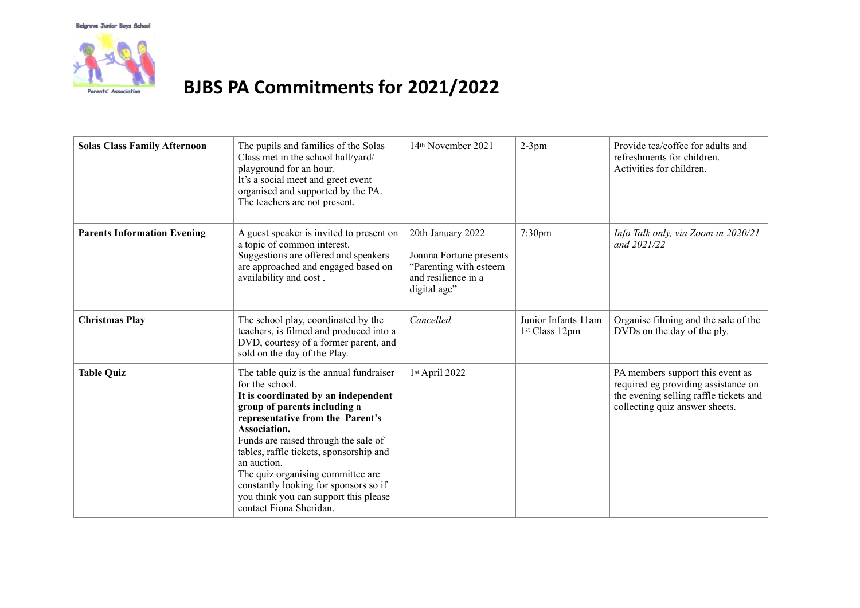

| <b>Solas Class Family Afternoon</b> | The pupils and families of the Solas<br>Class met in the school hall/yard/<br>playground for an hour.<br>It's a social meet and greet event<br>organised and supported by the PA.<br>The teachers are not present.                                                                                                                                                                                                                        | 14th November 2021                                                                                            | $2-3$ pm                                          | Provide tea/coffee for adults and<br>refreshments for children.<br>Activities for children.                                                         |
|-------------------------------------|-------------------------------------------------------------------------------------------------------------------------------------------------------------------------------------------------------------------------------------------------------------------------------------------------------------------------------------------------------------------------------------------------------------------------------------------|---------------------------------------------------------------------------------------------------------------|---------------------------------------------------|-----------------------------------------------------------------------------------------------------------------------------------------------------|
| <b>Parents Information Evening</b>  | A guest speaker is invited to present on<br>a topic of common interest.<br>Suggestions are offered and speakers<br>are approached and engaged based on<br>availability and cost.                                                                                                                                                                                                                                                          | 20th January 2022<br>Joanna Fortune presents<br>"Parenting with esteem<br>and resilience in a<br>digital age" | $7:30$ pm                                         | Info Talk only, via Zoom in 2020/21<br>and $2021/22$                                                                                                |
| <b>Christmas Play</b>               | The school play, coordinated by the<br>teachers, is filmed and produced into a<br>DVD, courtesy of a former parent, and<br>sold on the day of the Play.                                                                                                                                                                                                                                                                                   | Cancelled                                                                                                     | Junior Infants 11am<br>1 <sup>st</sup> Class 12pm | Organise filming and the sale of the<br>DVDs on the day of the ply.                                                                                 |
| <b>Table Quiz</b>                   | The table quiz is the annual fundraiser<br>for the school.<br>It is coordinated by an independent<br>group of parents including a<br>representative from the Parent's<br>Association.<br>Funds are raised through the sale of<br>tables, raffle tickets, sponsorship and<br>an auction.<br>The quiz organising committee are<br>constantly looking for sponsors so if<br>you think you can support this please<br>contact Fiona Sheridan. | 1st April 2022                                                                                                |                                                   | PA members support this event as<br>required eg providing assistance on<br>the evening selling raffle tickets and<br>collecting quiz answer sheets. |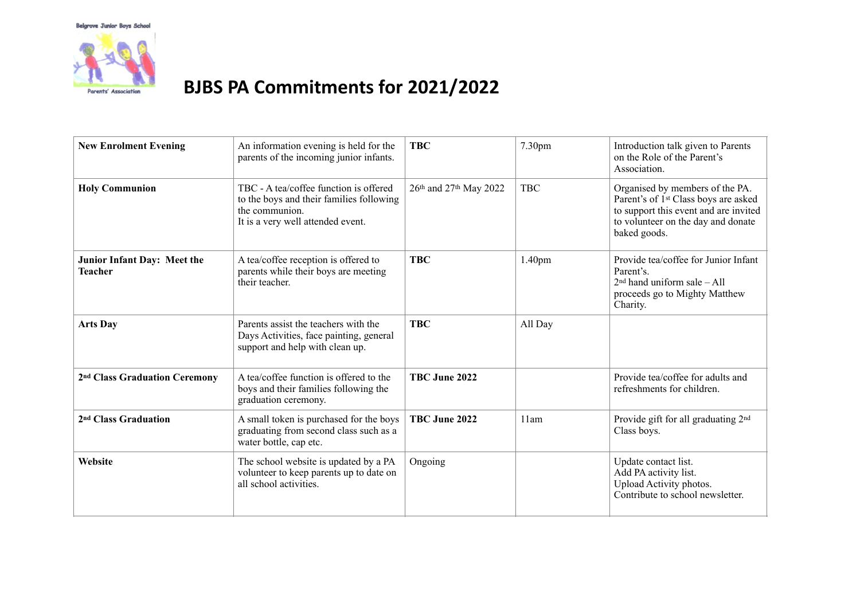

| <b>New Enrolment Evening</b>                  | An information evening is held for the<br>parents of the incoming junior infants.                                                         | <b>TBC</b>             | 7.30 <sub>pm</sub> | Introduction talk given to Parents<br>on the Role of the Parent's<br>Association.                                                                                                  |
|-----------------------------------------------|-------------------------------------------------------------------------------------------------------------------------------------------|------------------------|--------------------|------------------------------------------------------------------------------------------------------------------------------------------------------------------------------------|
| <b>Holy Communion</b>                         | TBC - A tea/coffee function is offered<br>to the boys and their families following<br>the communion.<br>It is a very well attended event. | 26th and 27th May 2022 | <b>TBC</b>         | Organised by members of the PA.<br>Parent's of 1 <sup>st</sup> Class boys are asked<br>to support this event and are invited<br>to volunteer on the day and donate<br>baked goods. |
| Junior Infant Day: Meet the<br><b>Teacher</b> | A tea/coffee reception is offered to<br>parents while their boys are meeting<br>their teacher.                                            | <b>TBC</b>             | 1.40 <sub>pm</sub> | Provide tea/coffee for Junior Infant<br>Parent's.<br>$2nd$ hand uniform sale - All<br>proceeds go to Mighty Matthew<br>Charity.                                                    |
| <b>Arts Day</b>                               | Parents assist the teachers with the<br>Days Activities, face painting, general<br>support and help with clean up.                        | <b>TBC</b>             | All Day            |                                                                                                                                                                                    |
| 2 <sup>nd</sup> Class Graduation Ceremony     | A tea/coffee function is offered to the<br>boys and their families following the<br>graduation ceremony.                                  | TBC June 2022          |                    | Provide tea/coffee for adults and<br>refreshments for children.                                                                                                                    |
| 2 <sup>nd</sup> Class Graduation              | A small token is purchased for the boys<br>graduating from second class such as a<br>water bottle, cap etc.                               | TBC June 2022          | 11am               | Provide gift for all graduating 2 <sup>nd</sup><br>Class boys.                                                                                                                     |
| Website                                       | The school website is updated by a PA<br>volunteer to keep parents up to date on<br>all school activities.                                | Ongoing                |                    | Update contact list.<br>Add PA activity list.<br>Upload Activity photos.<br>Contribute to school newsletter.                                                                       |